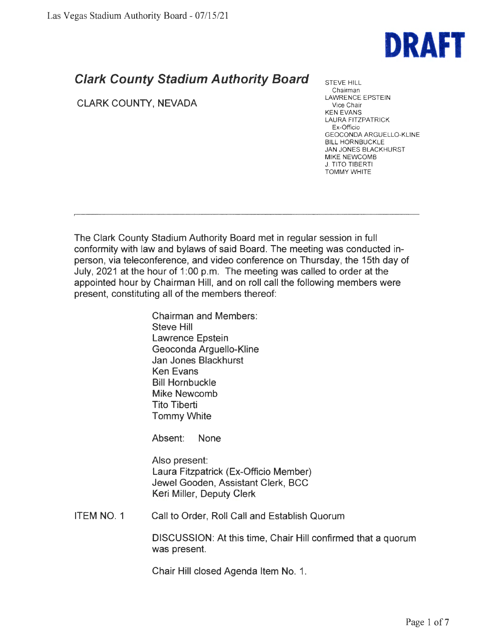

## **Clark County Stadium Authority Board**

CLARK COUNTY, NEVADA

STEVE HILL Chairman LAWRENCE EPSTEIN Vice Chair KEN EVANS LAURA FITZPATRICK Ex-Officio GEOCONDA ARGUELLO-KLINE BILL HORNBUCKLE JAN JONES BLACKHURST **MIKE** NEWCOMB J. TITO TIBERTI TOMMY WHITE

The Clark County Stadium Authority Board met in regular session in full conformity with law and bylaws of said Board. The meeting was conducted inperson, via teleconference, and video conference on Thursday, the 15th day of July, 2021 at the hour of 1:00 p.m. The meeting was called to order at the appointed hour by Chairman Hill, and on roll call the following members were present, constituting all of the members thereof:

> Chairman and Members: Steve Hill Lawrence Epstein Geoconda Arguello-Kline Jan Jones Blackhurst Ken Evans Bill Hornbuckle Mike Newcomb Tito Tiberti Tommy White

Absent: None

Also present: Laura Fitzpatrick (Ex-Officio Member) Jewel Gooden, Assistant Clerk, BCC Keri Miller, Deputy Clerk

ITEM NO. 1 Call to Order, Roll Call and Establish Quorum

> DISCUSSION: At this time, Chair Hill confirmed that a quorum was present.

Chair Hill closed Agenda Item No. 1.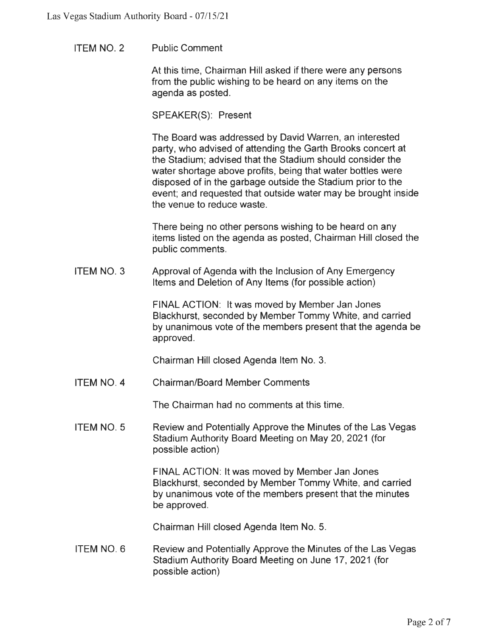ITEM **NO. 2**  Public Comment

> At this time, Chairman Hill asked if there were any persons from the public wishing to be heard on any items on the agenda as posted.

SPEAKER(S): Present

The Board was addressed by David Warren, an interested party, who advised of attending the Garth Brooks concert at the Stadium; advised that the Stadium should consider the water shortage above profits, being that water bottles were disposed of in the garbage outside the Stadium prior to the event; and requested that outside water may be brought inside the venue to reduce waste.

There being no other persons wishing to be heard on any items listed on the agenda as posted, Chairman Hill closed the public comments.

ITEM NO. 3 Approval of Agenda with the Inclusion of Any Emergency Items and Deletion of Any Items (for possible action)

> FINAL ACTION: It was moved by Member Jan Jones Blackhurst, seconded by Member Tommy White, and carried by unanimous vote of the members present that the agenda be approved.

Chairman Hill closed Agenda Item No. 3.

ITEM **NO. 4**  Chairman/Board Member Comments

The Chairman had no comments at this time.

ITEM NO. 5 Review and Potentially Approve the Minutes of the Las Vegas Stadium Authority Board Meeting on May 20, 2021 (for possible action)

> FINAL ACTION: It was moved by Member Jan Jones Blackhurst, seconded by Member Tommy White, and carried by unanimous vote of the members present that the minutes be approved.

Chairman Hill closed Agenda Item No. 5.

ITEM NO. 6 Review and Potentially Approve the Minutes of the Las Vegas Stadium Authority Board Meeting on June 17, 2021 (for possible action)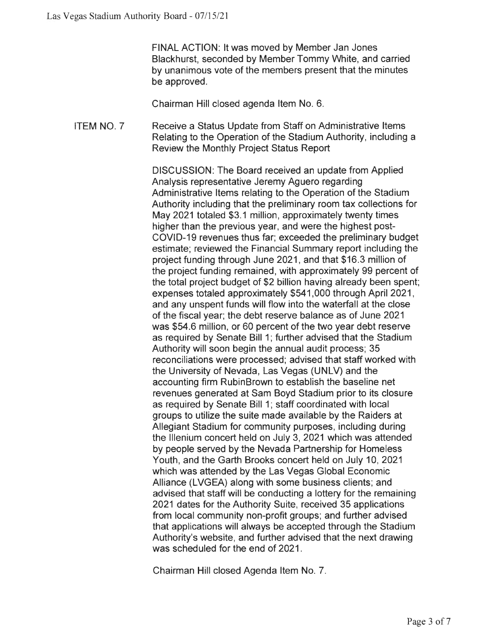FINAL ACTION: It was moved by Member Jan Jones Blackhurst, seconded by Member Tommy White, and carried by unanimous vote of the members present that the minutes be approved.

Chairman Hill closed agenda Item No. 6.

ITEM NO. 7 Receive a Status Update from Staff on Administrative Items Relating to the Operation of the Stadium Authority, including a Review the Monthly Project Status Report

> DISCUSSION: The Board received an update from Applied Analysis representative Jeremy Aguero regarding Administrative Items relating to the Operation of the Stadium Authority including that the preliminary room tax collections for May 2021 totaled \$3.1 million, approximately twenty times higher than the previous year, and were the highest post-COVID-19 revenues thus far; exceeded the preliminary budget estimate; reviewed the Financial Summary report including the project funding through June 2021, and that \$16.3 million of the project funding remained, with approximately 99 percent of the total project budget of \$2 billion having already been spent; expenses totaled approximately \$541 ,000 through April 2021 , and any unspent funds will flow into the waterfall at the close of the fiscal year; the debt reserve balance as of June 2021 was \$54.6 million, or 60 percent of the two year debt reserve as required by Senate Bill 1; further advised that the Stadium Authority will soon begin the annual audit process; 35 reconciliations were processed; advised that staff worked with the University of Nevada, Las Vegas (UNLV) and the accounting firm RubinBrown to establish the baseline net revenues generated at Sam Boyd Stadium prior to its closure as required by Senate Bill 1; staff coordinated with local groups to utilize the suite made available by the Raiders at Allegiant Stadium for community purposes, including during the lllenium concert held on July 3, 2021 which was attended by people served by the Nevada Partnership for Homeless Youth, and the Garth Brooks concert held on July 10, 2021 which was attended by the Las Vegas Global Economic Alliance (LVGEA) along with some business clients; and advised that staff will be conducting a lottery for the remaining 2021 dates for the Authority Suite, received 35 applications from local community non-profit groups; and further advised that applications will always be accepted through the Stadium Authority's website, and further advised that the next drawing was scheduled for the end of 2021.

Chairman Hill closed Agenda Item No. 7.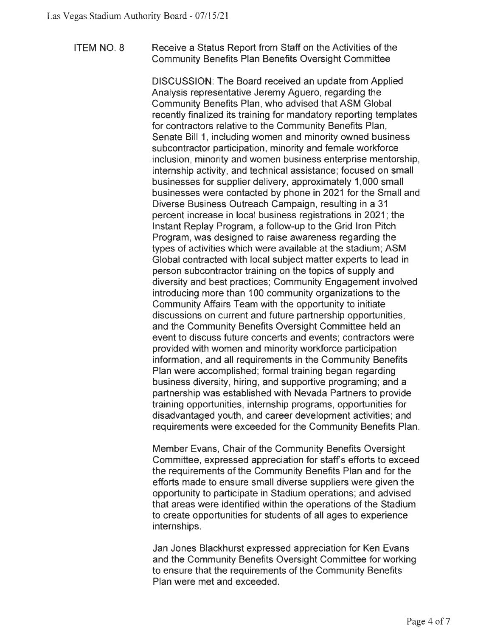## ITEM NO. 8 Receive a Status Report from Staff on the Activities of the Community Benefits Plan Benefits Oversight Committee

DISCUSSION: The Board received an update from Applied Analysis representative Jeremy Aguero, regarding the Community Benefits Plan, who advised that ASM Global recently finalized its training for mandatory reporting templates for contractors relative to the Community Benefits Plan, Senate Bill 1, including women and minority owned business subcontractor participation, minority and female workforce inclusion, minority and women business enterprise mentorship, internship activity, and technical assistance; focused on small businesses for supplier delivery, approximately 1,000 small businesses were contacted by phone in 2021 for the Small and Diverse Business Outreach Campaign, resulting in a 31 percent increase in local business registrations in 2021; the Instant Replay Program, a follow-up to the Grid Iron Pitch Program, was designed to raise awareness regarding the types of activities which were available at the stadium; ASM Global contracted with local subject matter experts to lead in person subcontractor training on the topics of supply and diversity and best practices; Community Engagement involved introducing more than 100 community organizations to the Community Affairs Team with the opportunity to initiate discussions on current and future partnership opportunities, and the Community Benefits Oversight Committee held an event to discuss future concerts and events; contractors were provided with women and minority workforce participation information, and all requirements in the Community Benefits Plan were accomplished; formal training began regarding business diversity, hiring, and supportive programing; and a partnership was established with Nevada Partners to provide training opportunities, internship programs, opportunities for disadvantaged youth, and career development activities; and requirements were exceeded for the Community Benefits Plan.

Member Evans, Chair of the Community Benefits Oversight Committee, expressed appreciation for staff's efforts to exceed the requirements of the Community Benefits Plan and for the efforts made to ensure small diverse suppliers were given the opportunity to participate in Stadium operations; and advised that areas were identified within the operations of the Stadium to create opportunities for students of all ages to experience internships.

Jan Jones Blackhurst expressed appreciation for Ken Evans and the Community Benefits Oversight Committee for working to ensure that the requirements of the Community Benefits Plan were met and exceeded.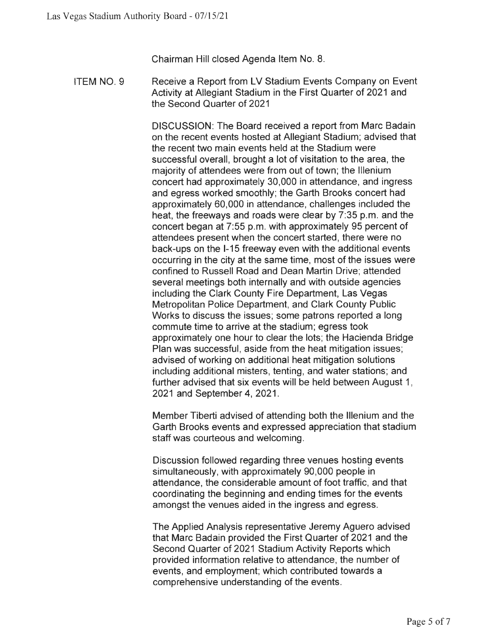Chairman Hill closed Agenda Item No. 8.

ITEM NO. 9 Receive a Report from LV Stadium Events Company on Event Activity at Allegiant Stadium in the First Quarter of 2021 and the Second Quarter of 2021

> DISCUSSION: The Board received a report from Marc Badain on the recent events hosted at Allegiant Stadium; advised that the recent two main events held at the Stadium were successful overall, brought a lot of visitation to the area, the majority of attendees were from out of town; the lllenium concert had approximately 30,000 in attendance, and ingress and egress worked smoothly; the Garth Brooks concert had approximately 60,000 in attendance, challenges included the heat, the freeways and roads were clear by 7:35 p.m. and the concert began at 7:55 p.m. with approximately 95 percent of attendees present when the concert started, there were no back-ups on the 1-15 freeway even with the additional events occurring in the city at the same time, most of the issues were confined to Russell Road and Dean Martin Drive; attended several meetings both internally and with outside agencies including the Clark County Fire Department, Las Vegas Metropolitan Police Department, and Clark County Public Works to discuss the issues; some patrons reported a long commute time to arrive at the stadium; egress took approximately one hour to clear the lots; the Hacienda Bridge Plan was successful, aside from the heat mitigation issues; advised of working on additional heat mitigation solutions including additional misters, tenting, and water stations; and further advised that six events will be held between August 1, 2021 and September **4,** 2021 .

> Member Tiberti advised of attending both the lllenium and the Garth Brooks events and expressed appreciation that stadium staff was courteous and welcoming.

Discussion followed regarding three venues hosting events simultaneously, with approximately 90,000 people in attendance, the considerable amount of foot traffic, and that coordinating the beginning and ending times for the events amongst the venues aided in the ingress and egress.

The Applied Analysis representative Jeremy Aguero advised that Marc Badain provided the First Quarter of 2021 and the Second Quarter of 2021 Stadium Activity Reports which provided information relative to attendance, the number of events, and employment; which contributed towards a comprehensive understanding of the events.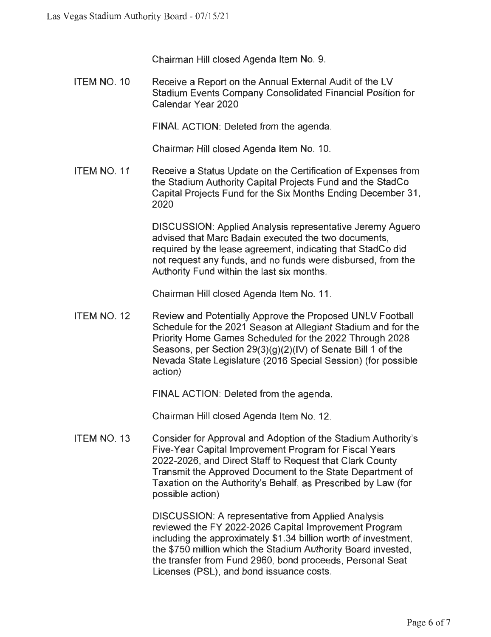Chairman Hill closed Agenda Item No. 9.

ITEM NO. 10 Receive a Report on the Annual External Audit of the LV Stadium Events Company Consolidated Financial Position for Calendar Year 2020

FINAL ACTION: Deleted from the agenda.

Chairman Hill closed Agenda Item No. 10.

ITEM NO. 11 Receive a Status Update on the Certification of Expenses from the Stadium Authority Capital Projects Fund and the StadCo Capital Projects Fund for the Six Months Ending December 31, 2020

> DISCUSSION: Applied Analysis representative Jeremy Aguero advised that Marc Badain executed the two documents, required by the lease agreement, indicating that StadCo did not request any funds, and no funds were disbursed, from the Authority Fund within the last six months.

Chairman Hill closed Agenda Item No. 11 .

ITEM NO. 12 Review and Potentially Approve the Proposed UNLV Football Schedule for the 2021 Season at Allegiant Stadium and for the Priority Home Games Scheduled for the 2022 Through 2028 Seasons, per Section 29(3)(g)(2)(IV) of Senate Bill 1 of the Nevada State Legislature (2016 Special Session) (for possible action)

FINAL ACTION: Deleted from the agenda.

Chairman Hill closed Agenda Item No. 12.

ITEM NO. 13 Consider for Approval and Adoption of the Stadium Authority's Five-Year Capital Improvement Program for Fiscal Years 2022-2026, and Direct Staff to Request that Clark County Transmit the Approved Document to the State Department of Taxation on the Authority's Behalf, as Prescribed by Law (for possible action)

> DISCUSSION: A representative from Applied Analysis reviewed the FY 2022-2026 Capital Improvement Program including the approximately \$1.34 billion worth of investment, the \$750 million which the Stadium Authority Board invested, the transfer from Fund 2960, bond proceeds, Personal Seat Licenses (PSL), and bond issuance costs.